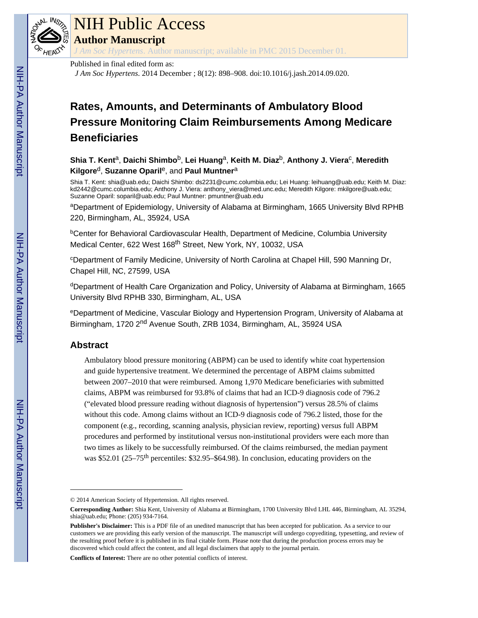

# NIH Public Access

**Author Manuscript**

*J Am Soc Hypertens*. Author manuscript; available in PMC 2015 December 01.

#### Published in final edited form as:

*J Am Soc Hypertens*. 2014 December ; 8(12): 898–908. doi:10.1016/j.jash.2014.09.020.

# **Rates, Amounts, and Determinants of Ambulatory Blood Pressure Monitoring Claim Reimbursements Among Medicare Beneficiaries**

**Shia T. Kent**a, **Daichi Shimbo**b, **Lei Huang**a, **Keith M. Diaz**b, **Anthony J. Viera**<sup>c</sup> , **Meredith Kilgore**d, **Suzanne Oparil**e, and **Paul Muntner**<sup>a</sup>

Shia T. Kent: shia@uab.edu; Daichi Shimbo: ds2231@cumc.columbia.edu; Lei Huang: leihuang@uab.edu; Keith M. Diaz: kd2442@cumc.columbia.edu; Anthony J. Viera: anthony\_viera@med.unc.edu; Meredith Kilgore: mkilgore@uab.edu; Suzanne Oparil: soparil@uab.edu; Paul Muntner: pmuntner@uab.edu

<sup>a</sup>Department of Epidemiology, University of Alabama at Birmingham, 1665 University Blvd RPHB 220, Birmingham, AL, 35924, USA

**bCenter for Behavioral Cardiovascular Health, Department of Medicine, Columbia University** Medical Center, 622 West 168<sup>th</sup> Street, New York, NY, 10032, USA

<sup>c</sup>Department of Family Medicine, University of North Carolina at Chapel Hill, 590 Manning Dr, Chapel Hill, NC, 27599, USA

<sup>d</sup>Department of Health Care Organization and Policy, University of Alabama at Birmingham, 1665 University Blvd RPHB 330, Birmingham, AL, USA

<sup>e</sup>Department of Medicine, Vascular Biology and Hypertension Program, University of Alabama at Birmingham, 1720 2nd Avenue South, ZRB 1034, Birmingham, AL, 35924 USA

# **Abstract**

Ambulatory blood pressure monitoring (ABPM) can be used to identify white coat hypertension and guide hypertensive treatment. We determined the percentage of ABPM claims submitted between 2007–2010 that were reimbursed. Among 1,970 Medicare beneficiaries with submitted claims, ABPM was reimbursed for 93.8% of claims that had an ICD-9 diagnosis code of 796.2 ("elevated blood pressure reading without diagnosis of hypertension") versus 28.5% of claims without this code. Among claims without an ICD-9 diagnosis code of 796.2 listed, those for the component (e.g., recording, scanning analysis, physician review, reporting) versus full ABPM procedures and performed by institutional versus non-institutional providers were each more than two times as likely to be successfully reimbursed. Of the claims reimbursed, the median payment was \$52.01 (25–75<sup>th</sup> percentiles: \$32.95–\$64.98). In conclusion, educating providers on the

**Conflicts of Interest:** There are no other potential conflicts of interest.

<sup>© 2014</sup> American Society of Hypertension. All rights reserved.

**Corresponding Author:** Shia Kent, University of Alabama at Birmingham, 1700 University Blvd LHL 446, Birmingham, AL 35294, shia@uab.edu; Phone: (205) 934-7164.

**Publisher's Disclaimer:** This is a PDF file of an unedited manuscript that has been accepted for publication. As a service to our customers we are providing this early version of the manuscript. The manuscript will undergo copyediting, typesetting, and review of the resulting proof before it is published in its final citable form. Please note that during the production process errors may be discovered which could affect the content, and all legal disclaimers that apply to the journal pertain.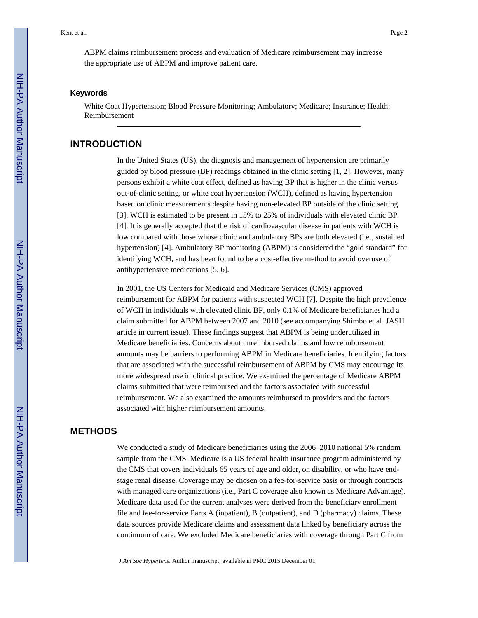ABPM claims reimbursement process and evaluation of Medicare reimbursement may increase the appropriate use of ABPM and improve patient care.

#### **Keywords**

White Coat Hypertension; Blood Pressure Monitoring; Ambulatory; Medicare; Insurance; Health; Reimbursement

#### **INTRODUCTION**

In the United States (US), the diagnosis and management of hypertension are primarily guided by blood pressure (BP) readings obtained in the clinic setting [1, 2]. However, many persons exhibit a white coat effect, defined as having BP that is higher in the clinic versus out-of-clinic setting, or white coat hypertension (WCH), defined as having hypertension based on clinic measurements despite having non-elevated BP outside of the clinic setting [3]. WCH is estimated to be present in 15% to 25% of individuals with elevated clinic BP [4]. It is generally accepted that the risk of cardiovascular disease in patients with WCH is low compared with those whose clinic and ambulatory BPs are both elevated (i.e., sustained hypertension) [4]. Ambulatory BP monitoring (ABPM) is considered the "gold standard" for identifying WCH, and has been found to be a cost-effective method to avoid overuse of antihypertensive medications [5, 6].

In 2001, the US Centers for Medicaid and Medicare Services (CMS) approved reimbursement for ABPM for patients with suspected WCH [7]. Despite the high prevalence of WCH in individuals with elevated clinic BP, only 0.1% of Medicare beneficiaries had a claim submitted for ABPM between 2007 and 2010 (see accompanying Shimbo et al. JASH article in current issue). These findings suggest that ABPM is being underutilized in Medicare beneficiaries. Concerns about unreimbursed claims and low reimbursement amounts may be barriers to performing ABPM in Medicare beneficiaries. Identifying factors that are associated with the successful reimbursement of ABPM by CMS may encourage its more widespread use in clinical practice. We examined the percentage of Medicare ABPM claims submitted that were reimbursed and the factors associated with successful reimbursement. We also examined the amounts reimbursed to providers and the factors associated with higher reimbursement amounts.

# **METHODS**

We conducted a study of Medicare beneficiaries using the 2006–2010 national 5% random sample from the CMS. Medicare is a US federal health insurance program administered by the CMS that covers individuals 65 years of age and older, on disability, or who have endstage renal disease. Coverage may be chosen on a fee-for-service basis or through contracts with managed care organizations (i.e., Part C coverage also known as Medicare Advantage). Medicare data used for the current analyses were derived from the beneficiary enrollment file and fee-for-service Parts A (inpatient), B (outpatient), and D (pharmacy) claims. These data sources provide Medicare claims and assessment data linked by beneficiary across the continuum of care. We excluded Medicare beneficiaries with coverage through Part C from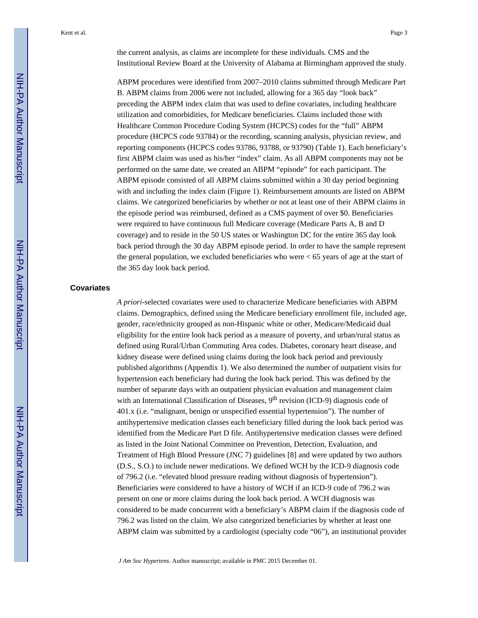the current analysis, as claims are incomplete for these individuals. CMS and the Institutional Review Board at the University of Alabama at Birmingham approved the study.

ABPM procedures were identified from 2007–2010 claims submitted through Medicare Part B. ABPM claims from 2006 were not included, allowing for a 365 day "look back" preceding the ABPM index claim that was used to define covariates, including healthcare utilization and comorbidities, for Medicare beneficiaries. Claims included those with Healthcare Common Procedure Coding System (HCPCS) codes for the "full" ABPM procedure (HCPCS code 93784) or the recording, scanning analysis, physician review, and reporting components (HCPCS codes 93786, 93788, or 93790) (Table 1). Each beneficiary's first ABPM claim was used as his/her "index" claim. As all ABPM components may not be performed on the same date, we created an ABPM "episode" for each participant. The ABPM episode consisted of all ABPM claims submitted within a 30 day period beginning with and including the index claim (Figure 1). Reimbursement amounts are listed on ABPM claims. We categorized beneficiaries by whether or not at least one of their ABPM claims in the episode period was reimbursed, defined as a CMS payment of over \$0. Beneficiaries were required to have continuous full Medicare coverage (Medicare Parts A, B and D coverage) and to reside in the 50 US states or Washington DC for the entire 365 day look back period through the 30 day ABPM episode period. In order to have the sample represent the general population, we excluded beneficiaries who were < 65 years of age at the start of the 365 day look back period.

#### **Covariates**

*A priori*-selected covariates were used to characterize Medicare beneficiaries with ABPM claims. Demographics, defined using the Medicare beneficiary enrollment file, included age, gender, race/ethnicity grouped as non-Hispanic white or other, Medicare/Medicaid dual eligibility for the entire look back period as a measure of poverty, and urban/rural status as defined using Rural/Urban Commuting Area codes. Diabetes, coronary heart disease, and kidney disease were defined using claims during the look back period and previously published algorithms (Appendix 1). We also determined the number of outpatient visits for hypertension each beneficiary had during the look back period. This was defined by the number of separate days with an outpatient physician evaluation and management claim with an International Classification of Diseases, 9<sup>th</sup> revision (ICD-9) diagnosis code of 401.x (i.e. "malignant, benign or unspecified essential hypertension"). The number of antihypertensive medication classes each beneficiary filled during the look back period was identified from the Medicare Part D file. Antihypertensive medication classes were defined as listed in the Joint National Committee on Prevention, Detection, Evaluation, and Treatment of High Blood Pressure (JNC 7) guidelines [8] and were updated by two authors (D.S., S.O.) to include newer medications. We defined WCH by the ICD-9 diagnosis code of 796.2 (i.e. "elevated blood pressure reading without diagnosis of hypertension"). Beneficiaries were considered to have a history of WCH if an ICD-9 code of 796.2 was present on one or more claims during the look back period. A WCH diagnosis was considered to be made concurrent with a beneficiary's ABPM claim if the diagnosis code of 796.2 was listed on the claim. We also categorized beneficiaries by whether at least one ABPM claim was submitted by a cardiologist (specialty code "06"), an institutional provider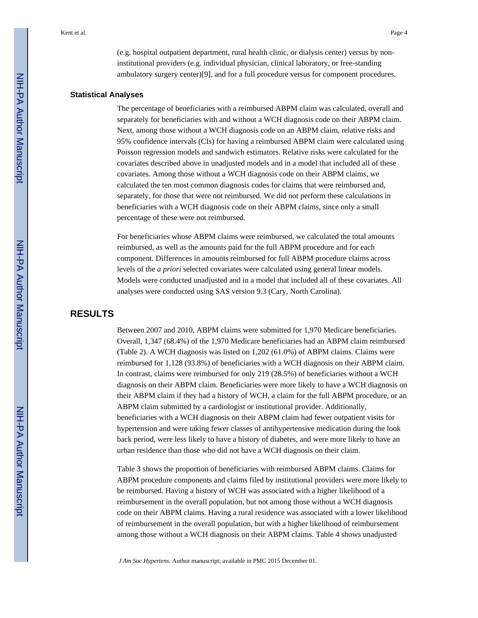(e.g. hospital outpatient department, rural health clinic, or dialysis center) versus by noninstitutional providers (e.g. individual physician, clinical laboratory, or free-standing ambulatory surgery center)[9], and for a full procedure versus for component procedures.

#### **Statistical Analyses**

The percentage of beneficiaries with a reimbursed ABPM claim was calculated, overall and separately for beneficiaries with and without a WCH diagnosis code on their ABPM claim. Next, among those without a WCH diagnosis code on an ABPM claim, relative risks and 95% confidence intervals (CIs) for having a reimbursed ABPM claim were calculated using Poisson regression models and sandwich estimators. Relative risks were calculated for the covariates described above in unadjusted models and in a model that included all of these covariates. Among those without a WCH diagnosis code on their ABPM claims, we calculated the ten most common diagnosis codes for claims that were reimbursed and, separately, for those that were not reimbursed. We did not perform these calculations in beneficiaries with a WCH diagnosis code on their ABPM claims, since only a small percentage of these were not reimbursed.

For beneficiaries whose ABPM claims were reimbursed, we calculated the total amounts reimbursed, as well as the amounts paid for the full ABPM procedure and for each component. Differences in amounts reimbursed for full ABPM procedure claims across levels of the *a priori* selected covariates were calculated using general linear models. Models were conducted unadjusted and in a model that included all of these covariates. All analyses were conducted using SAS version 9.3 (Cary, North Carolina).

# **RESULTS**

Between 2007 and 2010, ABPM claims were submitted for 1,970 Medicare beneficiaries. Overall, 1,347 (68.4%) of the 1,970 Medicare beneficiaries had an ABPM claim reimbursed (Table 2). A WCH diagnosis was listed on 1,202 (61.0%) of ABPM claims. Claims were reimbursed for 1,128 (93.8%) of beneficiaries with a WCH diagnosis on their ABPM claim. In contrast, claims were reimbursed for only 219 (28.5%) of beneficiaries without a WCH diagnosis on their ABPM claim. Beneficiaries were more likely to have a WCH diagnosis on their ABPM claim if they had a history of WCH, a claim for the full ABPM procedure, or an ABPM claim submitted by a cardiologist or institutional provider. Additionally, beneficiaries with a WCH diagnosis on their ABPM claim had fewer outpatient visits for hypertension and were taking fewer classes of antihypertensive medication during the look back period, were less likely to have a history of diabetes, and were more likely to have an urban residence than those who did not have a WCH diagnosis on their claim.

Table 3 shows the proportion of beneficiaries with reimbursed ABPM claims. Claims for ABPM procedure components and claims filed by institutional providers were more likely to be reimbursed. Having a history of WCH was associated with a higher likelihood of a reimbursement in the overall population, but not among those without a WCH diagnosis code on their ABPM claims. Having a rural residence was associated with a lower likelihood of reimbursement in the overall population, but with a higher likelihood of reimbursement among those without a WCH diagnosis on their ABPM claims. Table 4 shows unadjusted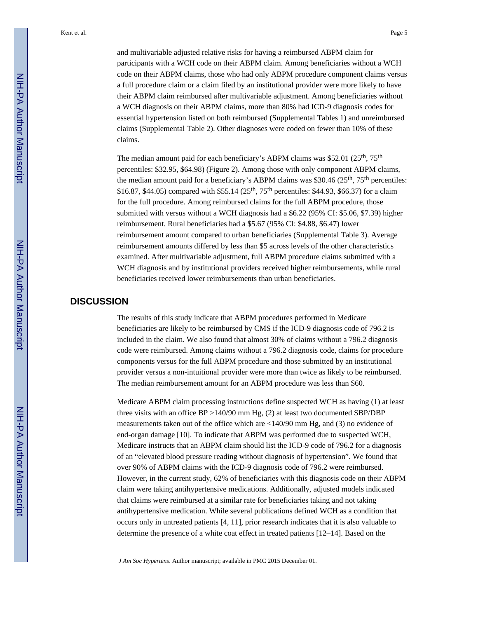and multivariable adjusted relative risks for having a reimbursed ABPM claim for participants with a WCH code on their ABPM claim. Among beneficiaries without a WCH code on their ABPM claims, those who had only ABPM procedure component claims versus a full procedure claim or a claim filed by an institutional provider were more likely to have their ABPM claim reimbursed after multivariable adjustment. Among beneficiaries without a WCH diagnosis on their ABPM claims, more than 80% had ICD-9 diagnosis codes for essential hypertension listed on both reimbursed (Supplemental Tables 1) and unreimbursed claims (Supplemental Table 2). Other diagnoses were coded on fewer than 10% of these claims.

The median amount paid for each beneficiary's ABPM claims was \$52.01 (25<sup>th</sup>, 75<sup>th</sup>) percentiles: \$32.95, \$64.98) (Figure 2). Among those with only component ABPM claims, the median amount paid for a beneficiary's ABPM claims was \$30.46 ( $25<sup>th</sup>$ ,  $75<sup>th</sup>$  percentiles: \$16.87, \$44.05) compared with \$55.14 (25<sup>th</sup>, 75<sup>th</sup> percentiles: \$44.93, \$66.37) for a claim for the full procedure. Among reimbursed claims for the full ABPM procedure, those submitted with versus without a WCH diagnosis had a \$6.22 (95% CI: \$5.06, \$7.39) higher reimbursement. Rural beneficiaries had a \$5.67 (95% CI: \$4.88, \$6.47) lower reimbursement amount compared to urban beneficiaries (Supplemental Table 3). Average reimbursement amounts differed by less than \$5 across levels of the other characteristics examined. After multivariable adjustment, full ABPM procedure claims submitted with a WCH diagnosis and by institutional providers received higher reimbursements, while rural beneficiaries received lower reimbursements than urban beneficiaries.

## **DISCUSSION**

The results of this study indicate that ABPM procedures performed in Medicare beneficiaries are likely to be reimbursed by CMS if the ICD-9 diagnosis code of 796.2 is included in the claim. We also found that almost 30% of claims without a 796.2 diagnosis code were reimbursed. Among claims without a 796.2 diagnosis code, claims for procedure components versus for the full ABPM procedure and those submitted by an institutional provider versus a non-intuitional provider were more than twice as likely to be reimbursed. The median reimbursement amount for an ABPM procedure was less than \$60.

Medicare ABPM claim processing instructions define suspected WCH as having (1) at least three visits with an office BP >140/90 mm Hg, (2) at least two documented SBP/DBP measurements taken out of the office which are <140/90 mm Hg, and (3) no evidence of end-organ damage [10]. To indicate that ABPM was performed due to suspected WCH, Medicare instructs that an ABPM claim should list the ICD-9 code of 796.2 for a diagnosis of an "elevated blood pressure reading without diagnosis of hypertension". We found that over 90% of ABPM claims with the ICD-9 diagnosis code of 796.2 were reimbursed. However, in the current study, 62% of beneficiaries with this diagnosis code on their ABPM claim were taking antihypertensive medications. Additionally, adjusted models indicated that claims were reimbursed at a similar rate for beneficiaries taking and not taking antihypertensive medication. While several publications defined WCH as a condition that occurs only in untreated patients [4, 11], prior research indicates that it is also valuable to determine the presence of a white coat effect in treated patients [12–14]. Based on the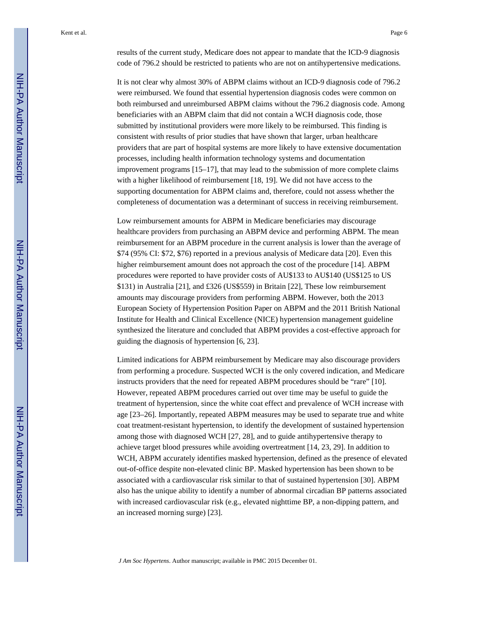results of the current study, Medicare does not appear to mandate that the ICD-9 diagnosis code of 796.2 should be restricted to patients who are not on antihypertensive medications.

It is not clear why almost 30% of ABPM claims without an ICD-9 diagnosis code of 796.2 were reimbursed. We found that essential hypertension diagnosis codes were common on both reimbursed and unreimbursed ABPM claims without the 796.2 diagnosis code. Among beneficiaries with an ABPM claim that did not contain a WCH diagnosis code, those submitted by institutional providers were more likely to be reimbursed. This finding is consistent with results of prior studies that have shown that larger, urban healthcare providers that are part of hospital systems are more likely to have extensive documentation processes, including health information technology systems and documentation improvement programs [15–17], that may lead to the submission of more complete claims with a higher likelihood of reimbursement [18, 19]. We did not have access to the supporting documentation for ABPM claims and, therefore, could not assess whether the completeness of documentation was a determinant of success in receiving reimbursement.

Low reimbursement amounts for ABPM in Medicare beneficiaries may discourage healthcare providers from purchasing an ABPM device and performing ABPM. The mean reimbursement for an ABPM procedure in the current analysis is lower than the average of \$74 (95% CI: \$72, \$76) reported in a previous analysis of Medicare data [20]. Even this higher reimbursement amount does not approach the cost of the procedure [14]. ABPM procedures were reported to have provider costs of AU\$133 to AU\$140 (US\$125 to US \$131) in Australia [21], and £326 (US\$559) in Britain [22], These low reimbursement amounts may discourage providers from performing ABPM. However, both the 2013 European Society of Hypertension Position Paper on ABPM and the 2011 British National Institute for Health and Clinical Excellence (NICE) hypertension management guideline synthesized the literature and concluded that ABPM provides a cost-effective approach for guiding the diagnosis of hypertension [6, 23].

Limited indications for ABPM reimbursement by Medicare may also discourage providers from performing a procedure. Suspected WCH is the only covered indication, and Medicare instructs providers that the need for repeated ABPM procedures should be "rare" [10]. However, repeated ABPM procedures carried out over time may be useful to guide the treatment of hypertension, since the white coat effect and prevalence of WCH increase with age [23–26]. Importantly, repeated ABPM measures may be used to separate true and white coat treatment-resistant hypertension, to identify the development of sustained hypertension among those with diagnosed WCH [27, 28], and to guide antihypertensive therapy to achieve target blood pressures while avoiding overtreatment [14, 23, 29]. In addition to WCH, ABPM accurately identifies masked hypertension, defined as the presence of elevated out-of-office despite non-elevated clinic BP. Masked hypertension has been shown to be associated with a cardiovascular risk similar to that of sustained hypertension [30]. ABPM also has the unique ability to identify a number of abnormal circadian BP patterns associated with increased cardiovascular risk (e.g., elevated nighttime BP, a non-dipping pattern, and an increased morning surge) [23].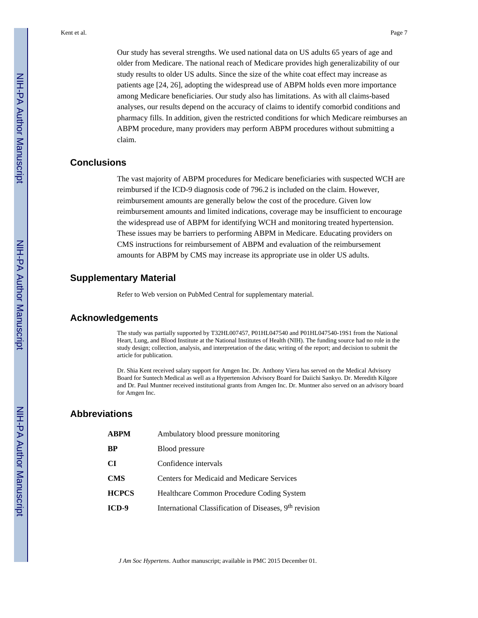Our study has several strengths. We used national data on US adults 65 years of age and older from Medicare. The national reach of Medicare provides high generalizability of our study results to older US adults. Since the size of the white coat effect may increase as patients age [24, 26], adopting the widespread use of ABPM holds even more importance among Medicare beneficiaries. Our study also has limitations. As with all claims-based analyses, our results depend on the accuracy of claims to identify comorbid conditions and pharmacy fills. In addition, given the restricted conditions for which Medicare reimburses an ABPM procedure, many providers may perform ABPM procedures without submitting a claim.

#### **Conclusions**

The vast majority of ABPM procedures for Medicare beneficiaries with suspected WCH are reimbursed if the ICD-9 diagnosis code of 796.2 is included on the claim. However, reimbursement amounts are generally below the cost of the procedure. Given low reimbursement amounts and limited indications, coverage may be insufficient to encourage the widespread use of ABPM for identifying WCH and monitoring treated hypertension. These issues may be barriers to performing ABPM in Medicare. Educating providers on CMS instructions for reimbursement of ABPM and evaluation of the reimbursement amounts for ABPM by CMS may increase its appropriate use in older US adults.

#### **Supplementary Material**

Refer to Web version on PubMed Central for supplementary material.

#### **Acknowledgements**

The study was partially supported by T32HL007457, P01HL047540 and P01HL047540-19S1 from the National Heart, Lung, and Blood Institute at the National Institutes of Health (NIH). The funding source had no role in the study design; collection, analysis, and interpretation of the data; writing of the report; and decision to submit the article for publication.

Dr. Shia Kent received salary support for Amgen Inc. Dr. Anthony Viera has served on the Medical Advisory Board for Suntech Medical as well as a Hypertension Advisory Board for Daiichi Sankyo. Dr. Meredith Kilgore and Dr. Paul Muntner received institutional grants from Amgen Inc. Dr. Muntner also served on an advisory board for Amgen Inc.

## **Abbreviations**

| ABPM         | Ambulatory blood pressure monitoring                               |
|--------------|--------------------------------------------------------------------|
| ВP           | Blood pressure                                                     |
| CI           | Confidence intervals                                               |
| CMS          | Centers for Medicaid and Medicare Services                         |
| <b>HCPCS</b> | Healthcare Common Procedure Coding System                          |
| ICD-9        | International Classification of Diseases, 9 <sup>th</sup> revision |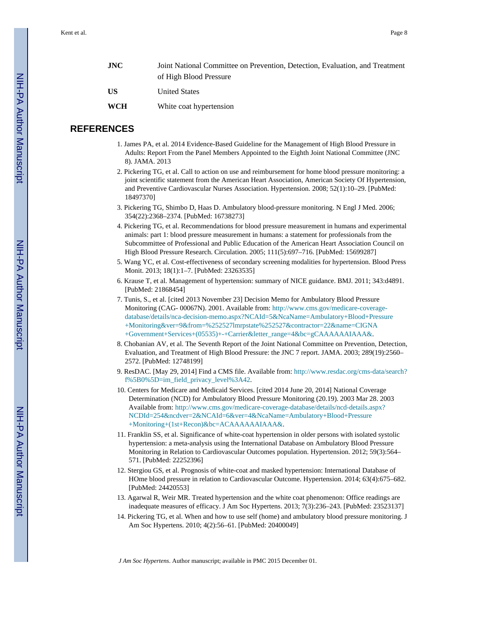| <b>JNC</b> | Joint National Committee on Prevention, Detection, Evaluation, and Treatment |
|------------|------------------------------------------------------------------------------|
|            | of High Blood Pressure                                                       |
| US         | United States                                                                |
| <b>WCH</b> | White coat hypertension                                                      |

# **REFERENCES**

- 1. James PA, et al. 2014 Evidence-Based Guideline for the Management of High Blood Pressure in Adults: Report From the Panel Members Appointed to the Eighth Joint National Committee (JNC 8). JAMA. 2013
- 2. Pickering TG, et al. Call to action on use and reimbursement for home blood pressure monitoring: a joint scientific statement from the American Heart Association, American Society Of Hypertension, and Preventive Cardiovascular Nurses Association. Hypertension. 2008; 52(1):10–29. [PubMed: 18497370]
- 3. Pickering TG, Shimbo D, Haas D. Ambulatory blood-pressure monitoring. N Engl J Med. 2006; 354(22):2368–2374. [PubMed: 16738273]
- 4. Pickering TG, et al. Recommendations for blood pressure measurement in humans and experimental animals: part 1: blood pressure measurement in humans: a statement for professionals from the Subcommittee of Professional and Public Education of the American Heart Association Council on High Blood Pressure Research. Circulation. 2005; 111(5):697–716. [PubMed: 15699287]
- 5. Wang YC, et al. Cost-effectiveness of secondary screening modalities for hypertension. Blood Press Monit. 2013; 18(1):1–7. [PubMed: 23263535]
- 6. Krause T, et al. Management of hypertension: summary of NICE guidance. BMJ. 2011; 343:d4891. [PubMed: 21868454]
- 7. Tunis, S., et al. [cited 2013 November 23] Decision Memo for Ambulatory Blood Pressure Monitoring (CAG- 00067N). 2001. Available from: [http://www.cms.gov/medicare-coverage](http://www.cms.gov/medicare-coverage-database/details/nca-decision-memo.aspx?NCAId=5&NcaName=Ambulatory+Blood+Pressure+Monitoring&ver=9&from=%252527lmrpstate%252527&contractor=22&name=CIGNA+Government+Services+(05535)+-+Carrier&letter_range=4&bc=gCAAAAAAIAAA&)[database/details/nca-decision-memo.aspx?NCAId=5&NcaName=Ambulatory+Blood+Pressure](http://www.cms.gov/medicare-coverage-database/details/nca-decision-memo.aspx?NCAId=5&NcaName=Ambulatory+Blood+Pressure+Monitoring&ver=9&from=%252527lmrpstate%252527&contractor=22&name=CIGNA+Government+Services+(05535)+-+Carrier&letter_range=4&bc=gCAAAAAAIAAA&) [+Monitoring&ver=9&from=%252527lmrpstate%252527&contractor=22&name=CIGNA](http://www.cms.gov/medicare-coverage-database/details/nca-decision-memo.aspx?NCAId=5&NcaName=Ambulatory+Blood+Pressure+Monitoring&ver=9&from=%252527lmrpstate%252527&contractor=22&name=CIGNA+Government+Services+(05535)+-+Carrier&letter_range=4&bc=gCAAAAAAIAAA&) [+Government+Services+\(05535\)+-+Carrier&letter\\_range=4&bc=gCAAAAAAIAAA&.](http://www.cms.gov/medicare-coverage-database/details/nca-decision-memo.aspx?NCAId=5&NcaName=Ambulatory+Blood+Pressure+Monitoring&ver=9&from=%252527lmrpstate%252527&contractor=22&name=CIGNA+Government+Services+(05535)+-+Carrier&letter_range=4&bc=gCAAAAAAIAAA&)
- 8. Chobanian AV, et al. The Seventh Report of the Joint National Committee on Prevention, Detection, Evaluation, and Treatment of High Blood Pressure: the JNC 7 report. JAMA. 2003; 289(19):2560– 2572. [PubMed: 12748199]
- 9. ResDAC. [May 29, 2014] Find a CMS file. Available from: [http://www.resdac.org/cms-data/search?](http://www.resdac.org/cms-data/search?f%5B0%5D=im_field_privacy_level%3A42) [f%5B0%5D=im\\_field\\_privacy\\_level%3A42.](http://www.resdac.org/cms-data/search?f%5B0%5D=im_field_privacy_level%3A42)
- 10. Centers for Medicare and Medicaid Services. [cited 2014 June 20, 2014] National Coverage Determination (NCD) for Ambulatory Blood Pressure Monitoring (20.19). 2003 Mar 28. 2003 Available from: [http://www.cms.gov/medicare-coverage-database/details/ncd-details.aspx?](http://www.cms.gov/medicare-coverage-database/details/ncd-details.aspx?NCDId=254&ncdver=2&NCAId=6&ver=4&NcaName=Ambulatory+Blood+Pressure+Monitoring+(1st+Recon)&bc=ACAAAAAAIAAA&) [NCDId=254&ncdver=2&NCAId=6&ver=4&NcaName=Ambulatory+Blood+Pressure](http://www.cms.gov/medicare-coverage-database/details/ncd-details.aspx?NCDId=254&ncdver=2&NCAId=6&ver=4&NcaName=Ambulatory+Blood+Pressure+Monitoring+(1st+Recon)&bc=ACAAAAAAIAAA&) [+Monitoring+\(1st+Recon\)&bc=ACAAAAAAIAAA&](http://www.cms.gov/medicare-coverage-database/details/ncd-details.aspx?NCDId=254&ncdver=2&NCAId=6&ver=4&NcaName=Ambulatory+Blood+Pressure+Monitoring+(1st+Recon)&bc=ACAAAAAAIAAA&).
- 11. Franklin SS, et al. Significance of white-coat hypertension in older persons with isolated systolic hypertension: a meta-analysis using the International Database on Ambulatory Blood Pressure Monitoring in Relation to Cardiovascular Outcomes population. Hypertension. 2012; 59(3):564– 571. [PubMed: 22252396]
- 12. Stergiou GS, et al. Prognosis of white-coat and masked hypertension: International Database of HOme blood pressure in relation to Cardiovascular Outcome. Hypertension. 2014; 63(4):675–682. [PubMed: 24420553]
- 13. Agarwal R, Weir MR. Treated hypertension and the white coat phenomenon: Office readings are inadequate measures of efficacy. J Am Soc Hypertens. 2013; 7(3):236–243. [PubMed: 23523137]
- 14. Pickering TG, et al. When and how to use self (home) and ambulatory blood pressure monitoring. J Am Soc Hypertens. 2010; 4(2):56–61. [PubMed: 20400049]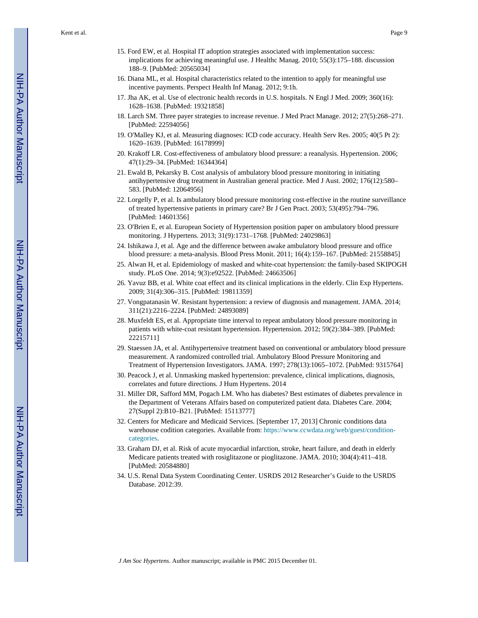- 15. Ford EW, et al. Hospital IT adoption strategies associated with implementation success: implications for achieving meaningful use. J Healthc Manag. 2010; 55(3):175–188. discussion 188–9. [PubMed: 20565034]
- 16. Diana ML, et al. Hospital characteristics related to the intention to apply for meaningful use incentive payments. Perspect Health Inf Manag. 2012; 9:1h.
- 17. Jha AK, et al. Use of electronic health records in U.S. hospitals. N Engl J Med. 2009; 360(16): 1628–1638. [PubMed: 19321858]
- 18. Larch SM. Three payer strategies to increase revenue. J Med Pract Manage. 2012; 27(5):268–271. [PubMed: 22594056]
- 19. O'Malley KJ, et al. Measuring diagnoses: ICD code accuracy. Health Serv Res. 2005; 40(5 Pt 2): 1620–1639. [PubMed: 16178999]
- 20. Krakoff LR. Cost-effectiveness of ambulatory blood pressure: a reanalysis. Hypertension. 2006; 47(1):29–34. [PubMed: 16344364]
- 21. Ewald B, Pekarsky B. Cost analysis of ambulatory blood pressure monitoring in initiating antihypertensive drug treatment in Australian general practice. Med J Aust. 2002; 176(12):580– 583. [PubMed: 12064956]
- 22. Lorgelly P, et al. Is ambulatory blood pressure monitoring cost-effective in the routine surveillance of treated hypertensive patients in primary care? Br J Gen Pract. 2003; 53(495):794–796. [PubMed: 14601356]
- 23. O'Brien E, et al. European Society of Hypertension position paper on ambulatory blood pressure monitoring. J Hypertens. 2013; 31(9):1731–1768. [PubMed: 24029863]
- 24. Ishikawa J, et al. Age and the difference between awake ambulatory blood pressure and office blood pressure: a meta-analysis. Blood Press Monit. 2011; 16(4):159–167. [PubMed: 21558845]
- 25. Alwan H, et al. Epidemiology of masked and white-coat hypertension: the family-based SKIPOGH study. PLoS One. 2014; 9(3):e92522. [PubMed: 24663506]
- 26. Yavuz BB, et al. White coat effect and its clinical implications in the elderly. Clin Exp Hypertens. 2009; 31(4):306–315. [PubMed: 19811359]
- 27. Vongpatanasin W. Resistant hypertension: a review of diagnosis and management. JAMA. 2014; 311(21):2216–2224. [PubMed: 24893089]
- 28. Muxfeldt ES, et al. Appropriate time interval to repeat ambulatory blood pressure monitoring in patients with white-coat resistant hypertension. Hypertension. 2012; 59(2):384–389. [PubMed: 22215711]
- 29. Staessen JA, et al. Antihypertensive treatment based on conventional or ambulatory blood pressure measurement. A randomized controlled trial. Ambulatory Blood Pressure Monitoring and Treatment of Hypertension Investigators. JAMA. 1997; 278(13):1065–1072. [PubMed: 9315764]
- 30. Peacock J, et al. Unmasking masked hypertension: prevalence, clinical implications, diagnosis, correlates and future directions. J Hum Hypertens. 2014
- 31. Miller DR, Safford MM, Pogach LM. Who has diabetes? Best estimates of diabetes prevalence in the Department of Veterans Affairs based on computerized patient data. Diabetes Care. 2004; 27(Suppl 2):B10–B21. [PubMed: 15113777]
- 32. Centers for Medicare and Medicaid Services. [September 17, 2013] Chronic conditions data warehouse codition categories. Available from: [https://www.ccwdata.org/web/guest/condition](https://www.ccwdata.org/web/guest/condition-categories)[categories](https://www.ccwdata.org/web/guest/condition-categories).
- 33. Graham DJ, et al. Risk of acute myocardial infarction, stroke, heart failure, and death in elderly Medicare patients treated with rosiglitazone or pioglitazone. JAMA. 2010; 304(4):411–418. [PubMed: 20584880]
- 34. U.S. Renal Data System Coordinating Center. USRDS 2012 Researcher's Guide to the USRDS Database. 2012:39.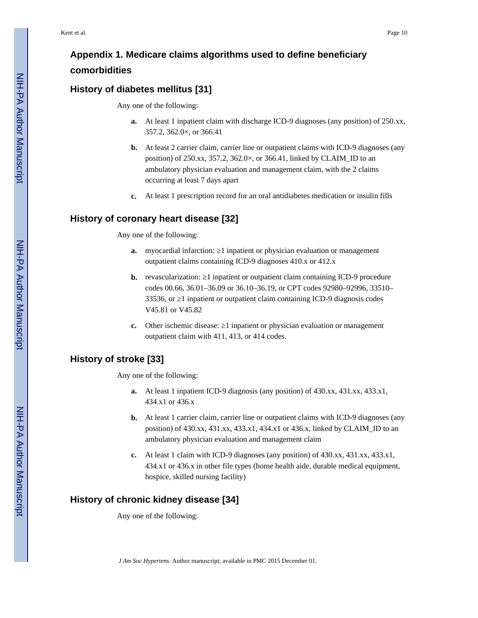# **Appendix 1. Medicare claims algorithms used to define beneficiary comorbidities**

# **History of diabetes mellitus [31]**

Any one of the following:

- **a.** At least 1 inpatient claim with discharge ICD-9 diagnoses (any position) of 250.xx, 357.2, 362.0×, or 366.41
- **b.** At least 2 carrier claim, carrier line or outpatient claims with ICD-9 diagnoses (any position) of 250.xx, 357.2, 362.0×, or 366.41, linked by CLAIM\_ID to an ambulatory physician evaluation and management claim, with the 2 claims occurring at least 7 days apart
- **c.** At least 1 prescription record for an oral antidiabetes medication or insulin fills

# **History of coronary heart disease [32]**

Any one of the following:

- **a.** myocardial infarction: 1 inpatient or physician evaluation or management outpatient claims containing ICD-9 diagnoses 410.x or 412.x
- **b.** revascularization: 1 inpatient or outpatient claim containing ICD-9 procedure codes 00.66, 36.01–36.09 or 36.10–36.19, or CPT codes 92980–92996, 33510– 33536, or 1 inpatient or outpatient claim containing ICD-9 diagnosis codes V45.81 or V45.82
- **c.** Other ischemic disease: 1 inpatient or physician evaluation or management outpatient claim with 411, 413, or 414 codes.

# **History of stroke [33]**

Any one of the following:

- **a.** At least 1 inpatient ICD-9 diagnosis (any position) of 430.xx, 431.xx, 433.x1, 434.x1 or 436.x
- **b.** At least 1 carrier claim, carrier line or outpatient claims with ICD-9 diagnoses (any position) of 430.xx, 431.xx, 433.x1, 434.x1 or 436.x, linked by CLAIM\_ID to an ambulatory physician evaluation and management claim
- **c.** At least 1 claim with ICD-9 diagnoses (any position) of 430.xx, 431.xx, 433.x1, 434.x1 or 436.x in other file types (home health aide, durable medical equipment, hospice, skilled nursing facility)

# **History of chronic kidney disease [34]**

Any one of the following: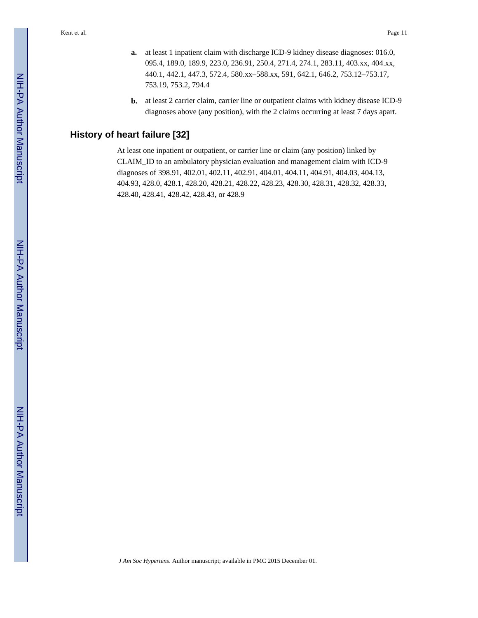- **a.** at least 1 inpatient claim with discharge ICD-9 kidney disease diagnoses: 016.0, 095.4, 189.0, 189.9, 223.0, 236.91, 250.4, 271.4, 274.1, 283.11, 403.xx, 404.xx, 440.1, 442.1, 447.3, 572.4, 580.xx–588.xx, 591, 642.1, 646.2, 753.12–753.17, 753.19, 753.2, 794.4
- **b.** at least 2 carrier claim, carrier line or outpatient claims with kidney disease ICD-9 diagnoses above (any position), with the 2 claims occurring at least 7 days apart.

# **History of heart failure [32]**

At least one inpatient or outpatient, or carrier line or claim (any position) linked by CLAIM\_ID to an ambulatory physician evaluation and management claim with ICD-9 diagnoses of 398.91, 402.01, 402.11, 402.91, 404.01, 404.11, 404.91, 404.03, 404.13, 404.93, 428.0, 428.1, 428.20, 428.21, 428.22, 428.23, 428.30, 428.31, 428.32, 428.33, 428.40, 428.41, 428.42, 428.43, or 428.9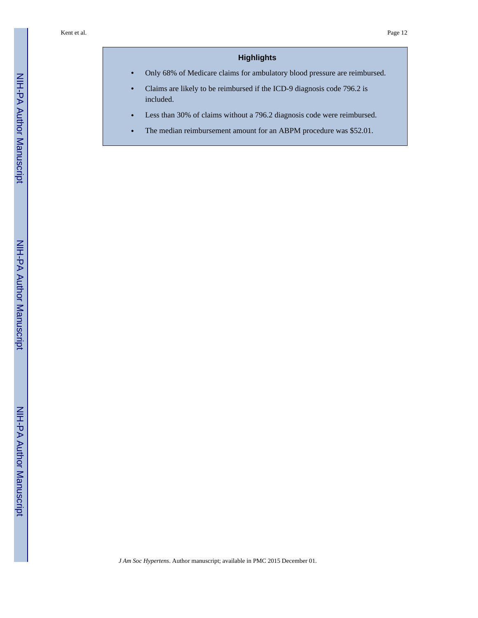# **Highlights**

**•** Only 68% of Medicare claims for ambulatory blood pressure are reimbursed.

- **•** Claims are likely to be reimbursed if the ICD-9 diagnosis code 796.2 is included.
- Less than 30% of claims without a 796.2 diagnosis code were reimbursed.
- The median reimbursement amount for an ABPM procedure was \$52.01.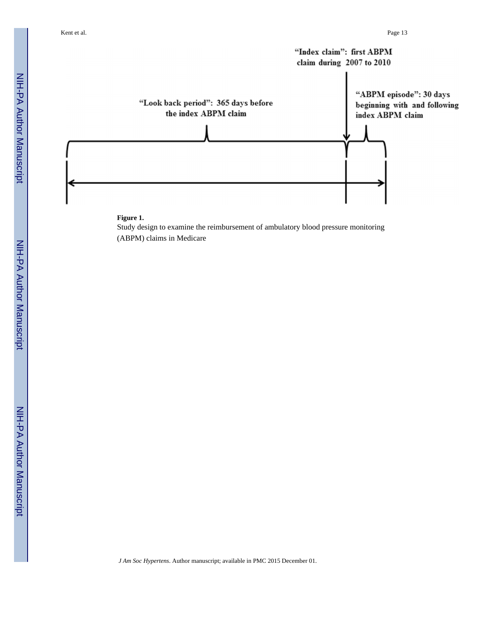

#### **Figure 1.**

Study design to examine the reimbursement of ambulatory blood pressure monitoring (ABPM) claims in Medicare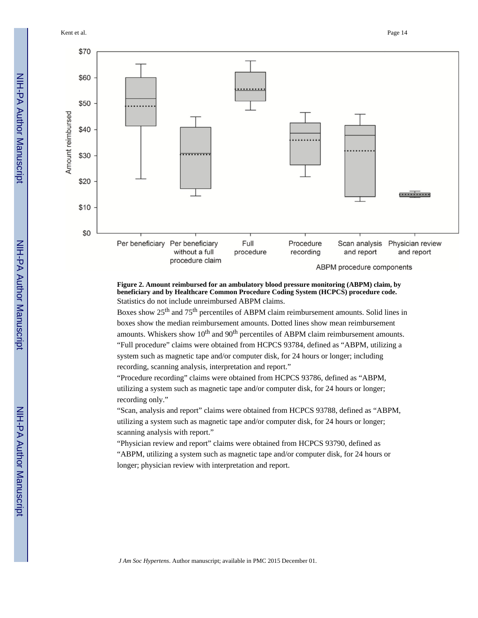Kent et al. Page 14



**Figure 2. Amount reimbursed for an ambulatory blood pressure monitoring (ABPM) claim, by beneficiary and by Healthcare Common Procedure Coding System (HCPCS) procedure code.**  Statistics do not include unreimbursed ABPM claims.

Boxes show 25th and 75th percentiles of ABPM claim reimbursement amounts. Solid lines in boxes show the median reimbursement amounts. Dotted lines show mean reimbursement amounts. Whiskers show  $10<sup>th</sup>$  and  $90<sup>th</sup>$  percentiles of ABPM claim reimbursement amounts. "Full procedure" claims were obtained from HCPCS 93784, defined as "ABPM, utilizing a system such as magnetic tape and/or computer disk, for 24 hours or longer; including recording, scanning analysis, interpretation and report."

"Procedure recording" claims were obtained from HCPCS 93786, defined as "ABPM, utilizing a system such as magnetic tape and/or computer disk, for 24 hours or longer; recording only."

"Scan, analysis and report" claims were obtained from HCPCS 93788, defined as "ABPM, utilizing a system such as magnetic tape and/or computer disk, for 24 hours or longer; scanning analysis with report."

"Physician review and report" claims were obtained from HCPCS 93790, defined as "ABPM, utilizing a system such as magnetic tape and/or computer disk, for 24 hours or longer; physician review with interpretation and report.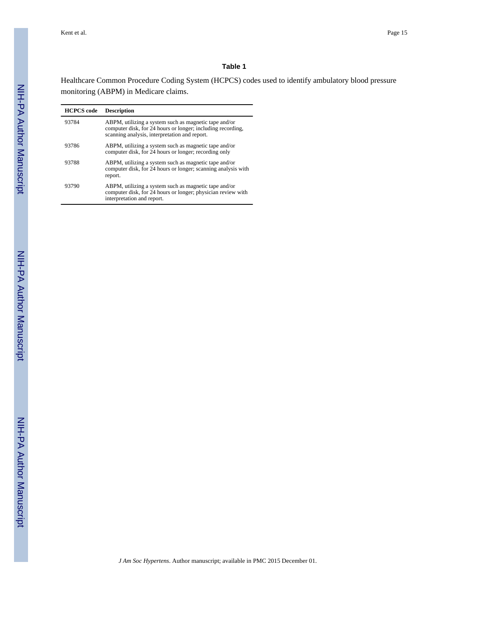#### **Table 1**

Healthcare Common Procedure Coding System (HCPCS) codes used to identify ambulatory blood pressure monitoring (ABPM) in Medicare claims.

| <b>HCPCS</b> code | <b>Description</b>                                                                                                                                                    |
|-------------------|-----------------------------------------------------------------------------------------------------------------------------------------------------------------------|
| 93784             | ABPM, utilizing a system such as magnetic tape and/or<br>computer disk, for 24 hours or longer; including recording,<br>scanning analysis, interpretation and report. |
| 93786             | ABPM, utilizing a system such as magnetic tape and/or<br>computer disk, for 24 hours or longer; recording only                                                        |
| 93788             | ABPM, utilizing a system such as magnetic tape and/or<br>computer disk, for 24 hours or longer; scanning analysis with<br>report.                                     |
| 93790             | ABPM, utilizing a system such as magnetic tape and/or<br>computer disk, for 24 hours or longer; physician review with<br>interpretation and report.                   |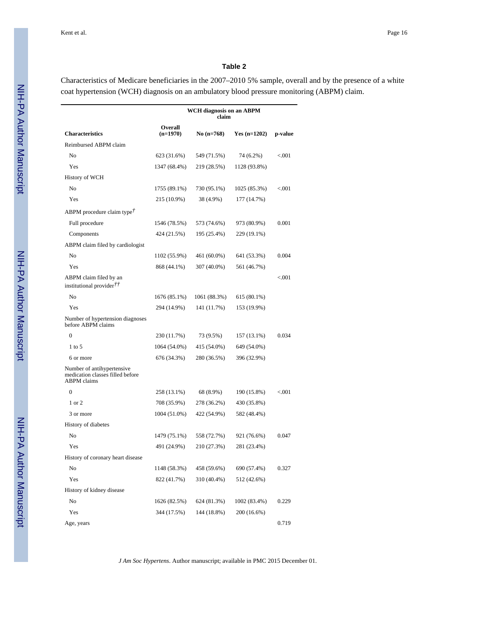#### **Table 2**

Characteristics of Medicare beneficiaries in the 2007–2010 5% sample, overall and by the presence of a white coat hypertension (WCH) diagnosis on an ambulatory blood pressure monitoring (ABPM) claim.

|                                                                                      |                       | WCH diagnosis on an ABPM<br>claim |                |         |
|--------------------------------------------------------------------------------------|-----------------------|-----------------------------------|----------------|---------|
| <b>Characteristics</b>                                                               | Overall<br>$(n=1970)$ | No (n=768)                        | Yes $(n=1202)$ | p-value |
| Reimbursed ABPM claim                                                                |                       |                                   |                |         |
| No                                                                                   | 623 (31.6%)           | 549 (71.5%)                       | 74 (6.2%)      | < 0.001 |
| Yes                                                                                  | 1347 (68.4%)          | 219 (28.5%)                       | 1128 (93.8%)   |         |
| History of WCH                                                                       |                       |                                   |                |         |
| No                                                                                   | 1755 (89.1%)          | 730 (95.1%)                       | 1025 (85.3%)   | < 0.001 |
| Yes                                                                                  | 215 (10.9%)           | 38 (4.9%)                         | 177 (14.7%)    |         |
| ABPM procedure claim type!                                                           |                       |                                   |                |         |
| Full procedure                                                                       | 1546 (78.5%)          | 573 (74.6%)                       | 973 (80.9%)    | 0.001   |
| Components                                                                           | 424 (21.5%)           | 195 (25.4%)                       | 229 (19.1%)    |         |
| ABPM claim filed by cardiologist                                                     |                       |                                   |                |         |
| No                                                                                   | 1102 (55.9%)          | 461 (60.0%)                       | 641 (53.3%)    | 0.004   |
| Yes                                                                                  | 868 (44.1%)           | 307 (40.0%)                       | 561 (46.7%)    |         |
| ABPM claim filed by an<br>institutional provider $\ddot{\mathcal{T}}$                |                       |                                   |                | < 0.001 |
| No                                                                                   | 1676 (85.1%)          | 1061 (88.3%)                      | 615 (80.1%)    |         |
| Yes                                                                                  | 294 (14.9%)           | 141 (11.7%)                       | 153 (19.9%)    |         |
| Number of hypertension diagnoses<br>before ABPM claims                               |                       |                                   |                |         |
| $\mathbf{0}$                                                                         | 230 (11.7%)           | 73 (9.5%)                         | 157 (13.1%)    | 0.034   |
| $1$ to 5                                                                             | 1064 (54.0%)          | 415 (54.0%)                       | 649 (54.0%)    |         |
| 6 or more                                                                            | 676 (34.3%)           | 280 (36.5%)                       | 396 (32.9%)    |         |
| Number of antihypertensive<br>medication classes filled before<br><b>ABPM</b> claims |                       |                                   |                |         |
| $\mathbf{0}$                                                                         | 258 (13.1%)           | 68 (8.9%)                         | 190 (15.8%)    | < 0.001 |
| 1 or 2                                                                               | 708 (35.9%)           | 278 (36.2%)                       | 430 (35.8%)    |         |
| 3 or more                                                                            | 1004 (51.0%)          | 422 (54.9%)                       | 582 (48.4%)    |         |
| History of diabetes                                                                  |                       |                                   |                |         |
| No                                                                                   | 1479 (75.1%)          | 558 (72.7%)                       | 921 (76.6%)    | 0.047   |
| Yes                                                                                  | 491 (24.9%)           | 210 (27.3%)                       | 281 (23.4%)    |         |
| History of coronary heart disease                                                    |                       |                                   |                |         |
| No                                                                                   | 1148 (58.3%)          | 458 (59.6%)                       | 690 (57.4%)    | 0.327   |
| Yes                                                                                  | 822 (41.7%)           | 310 (40.4%)                       | 512 (42.6%)    |         |
| History of kidney disease                                                            |                       |                                   |                |         |
| No                                                                                   | 1626 (82.5%)          | 624 (81.3%)                       | 1002 (83.4%)   | 0.229   |
| Yes                                                                                  | 344 (17.5%)           | 144 (18.8%)                       | 200 (16.6%)    |         |
| Age, years                                                                           |                       |                                   |                | 0.719   |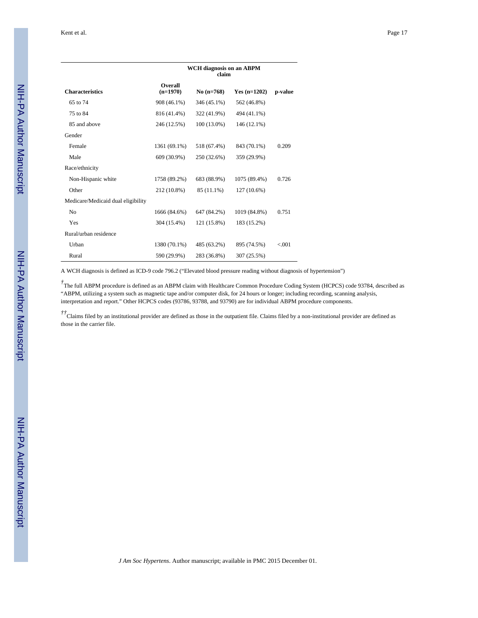|                                    |                       | <b>WCH</b> diagnosis on an ABPM<br>claim |                |         |
|------------------------------------|-----------------------|------------------------------------------|----------------|---------|
| <b>Characteristics</b>             | Overall<br>$(n=1970)$ | No $(n=768)$                             | $Yes (n=1202)$ | p-value |
| 65 to 74                           | 908 (46.1%)           | 346 (45.1%)                              | 562 (46.8%)    |         |
| 75 to 84                           | 816 (41.4%)           | 322 (41.9%)                              | 494 (41.1%)    |         |
| 85 and above                       | 246 (12.5%)           | $100(13.0\%)$                            | 146 (12.1%)    |         |
| Gender                             |                       |                                          |                |         |
| Female                             | 1361 (69.1%)          | 518 (67.4%)                              | 843 (70.1%)    | 0.209   |
| Male                               | 609 (30.9%)           | 250 (32.6%)                              | 359 (29.9%)    |         |
| Race/ethnicity                     |                       |                                          |                |         |
| Non-Hispanic white                 | 1758 (89.2%)          | 683 (88.9%)                              | 1075 (89.4%)   | 0.726   |
| Other                              | 212 (10.8%)           | 85 (11.1%)                               | $127(10.6\%)$  |         |
| Medicare/Medicaid dual eligibility |                       |                                          |                |         |
| No                                 | 1666 (84.6%)          | 647 (84.2%)                              | 1019 (84.8%)   | 0.751   |
| Yes                                | 304 (15.4%)           | 121 (15.8%)                              | 183 (15.2%)    |         |
| Rural/urban residence              |                       |                                          |                |         |
| Urban                              | 1380 (70.1%)          | 485 (63.2%)                              | 895 (74.5%)    | < 0.001 |
| Rural                              | 590 (29.9%)           | 283 (36.8%)                              | 307 (25.5%)    |         |

A WCH diagnosis is defined as ICD-9 code 796.2 ("Elevated blood pressure reading without diagnosis of hypertension")

<sup>†</sup>The full ABPM procedure is defined as an ABPM claim with Healthcare Common Procedure Coding System (HCPCS) code 93784, described as "ABPM, utilizing a system such as magnetic tape and/or computer disk, for 24 hours or longer; including recording, scanning analysis, interpretation and report." Other HCPCS codes (93786, 93788, and 93790) are for individual ABPM procedure components.

 $\hbar$ <sup>†</sup>Claims filed by an institutional provider are defined as those in the outpatient file. Claims filed by a non-institutional provider are defined as those in the carrier file.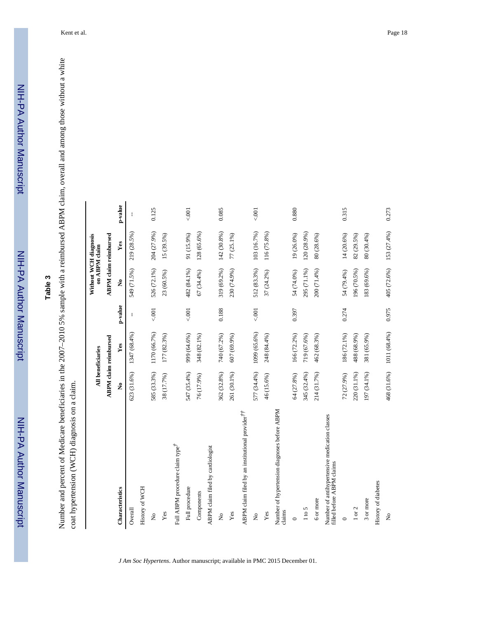# **Table 3**

Number and percent of Medicare beneficiaries in the 2007-2010 5% sample with a reimbursed ABPM claim, overall and among those without a white Number and percent of Medicare beneficiaries in the 2007–2010 5% sample with a reimbursed ABPM claim, overall and among those without a white coat hypertension (WCH) diagnosis on a claim. coat hypertension (WCH) diagnosis on a claim.

|                                                                            |             | All beneficiaries            |              | on ABPM claim        | Without WCH diagnosis        |         |
|----------------------------------------------------------------------------|-------------|------------------------------|--------------|----------------------|------------------------------|---------|
|                                                                            |             | <b>ABPM</b> claim reimbursed |              |                      | <b>ABPM</b> claim reimbursed |         |
| Characteristics                                                            | Ž,          | Yes                          | p-value      | $\tilde{\mathbf{z}}$ | Yes                          | p-value |
| Overall                                                                    | 623 (31.6%) | 1347 (68.4%)                 | $\mathbf{I}$ | 549 (71.5%)          | 219 (28.5%)                  | t       |
| History of WCH                                                             |             |                              |              |                      |                              |         |
| $\tilde{\mathbf{z}}$                                                       | 585 (33.3%) | 1170 (66.7%)                 | $5001 -$     | 526 (72.1%)          | 204 (27.9%)                  | 0.125   |
| Yes                                                                        | 38 (17.7%)  | 177 (82.3%)                  |              | 23 (60.5%)           | 15 (39.5%)                   |         |
| Full ABPM procedure claim type <sup>†</sup>                                |             |                              |              |                      |                              |         |
| Full procedure                                                             | 547 (35.4%) | 999 (64.6%)                  | 5001         | 482 (84.1%)          | 91 (15.9%)                   | 5001    |
| Components                                                                 | 76 (17.9%)  | 348 (82.1%)                  |              | 67 (34.4%)           | 128 (65.6%)                  |         |
| ABPM claim filed by cardiologist                                           |             |                              |              |                      |                              |         |
| $\tilde{z}$                                                                | 362 (32.8%) | 740 (67.2%)                  | 0.188        | 319 (69.2%)          | 142 (30.8%)                  | 0.085   |
| Yes                                                                        | 261 (30.1%) | 607 (69.9%)                  |              | 230 (74.9%)          | 77 (25.1%)                   |         |
| ABPM claim filed by an institutional provider <sup>††</sup>                |             |                              |              |                      |                              |         |
| $\mathsf{S}^{\mathsf{o}}$                                                  | 577 (34.4%) | 1099 (65.6%)                 | $000 -$      | 512 (83.3%)          | 103 (16.7%)                  | 001     |
| Yes                                                                        | 46 (15.6%)  | 248 (84.4%)                  |              | 37 (24.2%)           | 116 (75.8%)                  |         |
| Number of hypertension diagnoses before ABPM<br>claims                     |             |                              |              |                      |                              |         |
| $\circ$                                                                    | 64 (27.8%)  | 166 (72.2%)                  | 0.397        | 54 (74.0%)           | 19 (26.0%)                   | 0.880   |
| $1 \text{ to } 5$                                                          | 345 (32.4%) | 719 (67.6%)                  |              | 295 (71.1%)          | 120 (28.9%)                  |         |
| 6 or more                                                                  | 214 (31.7%) | 462 (68.3%)                  |              | 200 (71.4%)          | 80 (28.6%)                   |         |
| Number of antihypertensive medication classes<br>filled before ABPM claims |             |                              |              |                      |                              |         |
| $\circ$                                                                    | 72 (27.9%)  | 186 (72.1%)                  | 0.274        | 54 (79.4%)           | $14(20.6\%)$                 | 0.315   |
| 1 or 2                                                                     | 220 (31.1%) | 488 (68.9%)                  |              | 196 (70.5%)          | 82 (29.5%)                   |         |
| 3 or more                                                                  | 197 (34.1%) | 381 (65.9%)                  |              | 183 (69.6%)          | 80 (30.4%)                   |         |
| History of diabetes                                                        |             |                              |              |                      |                              |         |
| $\tilde{z}$                                                                | 468 (31.6%) | 1011 (68.4%)                 | 0.975        | 405 (72.6%)          | 153 (27.4%)                  | 0.273   |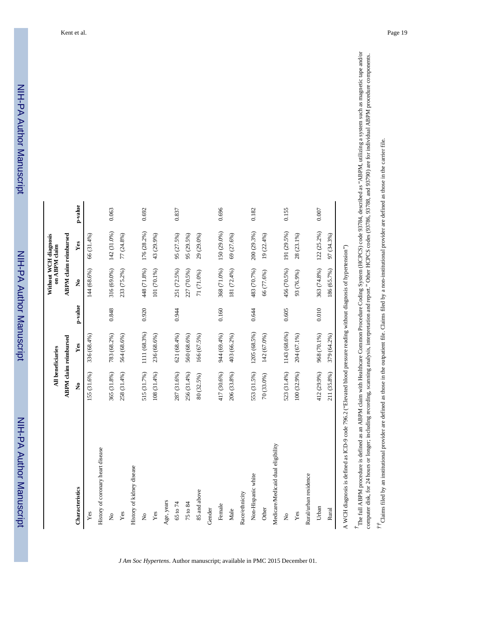|                                    |             | <b>All beneficiaries</b>     |         | Without WCH diagnosis | on ABPM claim                |         |
|------------------------------------|-------------|------------------------------|---------|-----------------------|------------------------------|---------|
|                                    |             | <b>ABPM</b> claim reimbursed |         |                       | <b>ABPM</b> claim reimbursed |         |
| Characteristics                    | Ž,          | Yes                          | p-value | $\tilde{\mathbf{z}}$  | Yes                          | p-value |
| Yes                                | 155 (31.6%) | 336 (68.4%)                  |         | 144 (68.6%)           | 66 (31.4%)                   |         |
| History of coronary heart disease  |             |                              |         |                       |                              |         |
| $\tilde{S}$                        | 365 (31.8%) | 783 (68.2%)                  | 0.848   | 316 (69.0%)           | 142 (31.0%)                  | 0.063   |
| Yes                                | 258 (31.4%) | 564 (68.6%)                  |         | 233 (75.2%)           | 77 (24.8%)                   |         |
| History of kidney disease          |             |                              |         |                       |                              |         |
| $\tilde{\mathsf{z}}$               | 515 (31.7%) | 1111 (68.3%)                 | 0.920   | 448 (71.8%)           | 176 (28.2%)                  | 0.692   |
| Yes                                | 108 (31.4%) | 236 (68.6%)                  |         | 101 (70.1%)           | 43 (29.9%)                   |         |
| Age, years                         |             |                              |         |                       |                              |         |
| 65 to 74                           | 287 (31.6%) | 621 (68.4%)                  | 0.944   | 251 (72.5%)           | 95 (27.5%)                   | 0.837   |
| 75 to 84                           | 256 (31.4%) | 560 (68.6%)                  |         | 227 (70.5%)           | 95 (29.5%)                   |         |
| 85 and above                       | 80 (32.5%)  | 166 (67.5%)                  |         | 71 (71.0%)            | 29 (29.0%)                   |         |
| Gender                             |             |                              |         |                       |                              |         |
| Female                             | 417 (30.6%) | 944 (69.4%)                  | 0.160   | 368 (71.0%)           | 150 (29.0%)                  | 0.696   |
| Male                               | 206 (33.8%) | 403 (66.2%)                  |         | 181 (72.4%)           | 69 (27.6%)                   |         |
| Race/ethnicity                     |             |                              |         |                       |                              |         |
| Non-Hispanic white                 | 553 (31.5%) | 1205 (68.5%)                 | 0.644   | 483 (70.7%)           | 200 (29.3%)                  | 0.182   |
| Other                              | 70 (33.0%)  | 142 (67.0%)                  |         | 66 (77.6%)            | 19 (22.4%)                   |         |
| Medicare/Medicaid dual eligibility |             |                              |         |                       |                              |         |
| $\mathsf{S}^{\mathsf{o}}$          | 523 (31.4%) | 1143 (68.6%)                 | 0.605   | 456 (70.5%)           | 191 (29.5%)                  | 0.155   |
| Yes                                | 100 (32.9%) | 204 (67.1%)                  |         | 93 (76.9%)            | 28 (23.1%)                   |         |
| Rural/urban residence              |             |                              |         |                       |                              |         |
| Urban                              | 412 (29.9%) | 968 (70.1%)                  | 0.010   | 363 (74.8%)           | 122 (25.2%)                  | 0.007   |
| Rural                              | 211 (35.8%) | 379 (64.2%)                  |         | 186 (65.7%)           | 97 (34.3%)                   |         |

A WCH diagnosis is defined as ICD-9 code 796.2 ("Elevated blood pressure reading without diagnosis of hypertension")

*†*The full ABPM procedure is defined as an ABPM claim with Healthcare Common Procedure Coding System (HCPCS) code 93784, described as "ABPM, utilizing a system such as magnetic tape and/or The full ABPM procedure is defined as an ABPM claim with Healthcare Common Procedure Coding System (HCPCS) code 93784, described as "ABPM, utilizing a system such as magnetic tape and/or<br>The full ABPM procedure is defined computer disk, for 24 hours or longer, including recording, scanning analysis, interpretation and report." Other HCPCS codes (93786, 93788, and 93790) are for individual ABPM procedure components. computer disk, for 24 hours or longer; including recording, scanning analysis, interpretation and report." Other HCPCS codes (93786, 93788, and 93790) are for individual ABPM procedure components.

 $t^{\dagger}$ Claims filed by an institutional provider are defined as those in the outpatient file. Claims filed by a non-institutional provider are defined as those in the carrier file. *††*Claims filed by an institutional provider are defined as those in the outpatient file. Claims filed by a non-institutional provider are defined as those in the carrier file.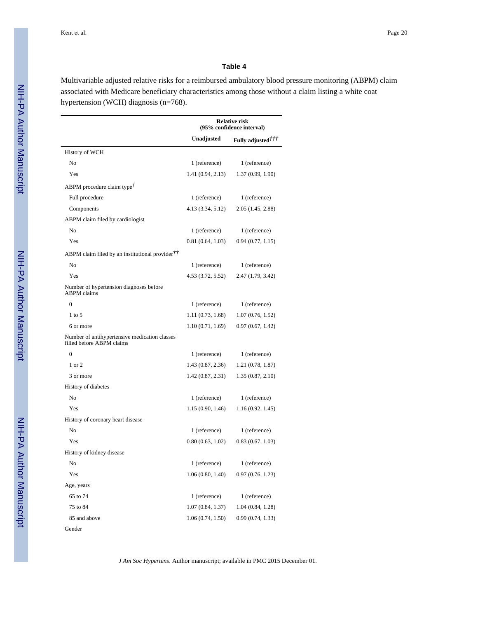#### **Table 4**

Multivariable adjusted relative risks for a reimbursed ambulatory blood pressure monitoring (ABPM) claim associated with Medicare beneficiary characteristics among those without a claim listing a white coat hypertension (WCH) diagnosis (n=768).

|                                                                            |                   | <b>Relative risk</b><br>(95% confidence interval) |
|----------------------------------------------------------------------------|-------------------|---------------------------------------------------|
|                                                                            | Unadjusted        | Fully adjusted <sup>†††</sup>                     |
| History of WCH                                                             |                   |                                                   |
| No                                                                         | 1 (reference)     | 1 (reference)                                     |
| Yes                                                                        | 1.41(0.94, 2.13)  | 1.37(0.99, 1.90)                                  |
| ABPM procedure claim type <sup><math>\tau</math></sup>                     |                   |                                                   |
| Full procedure                                                             | 1 (reference)     | 1 (reference)                                     |
| Components                                                                 | 4.13 (3.34, 5.12) | 2.05(1.45, 2.88)                                  |
| ABPM claim filed by cardiologist                                           |                   |                                                   |
| No                                                                         | 1 (reference)     | 1 (reference)                                     |
| Yes                                                                        | 0.81(0.64, 1.03)  | 0.94(0.77, 1.15)                                  |
| ABPM claim filed by an institutional provider $\ddot{\mathcal{T}}$         |                   |                                                   |
| No                                                                         | 1 (reference)     | 1 (reference)                                     |
| Yes                                                                        | 4.53 (3.72, 5.52) | 2.47(1.79, 3.42)                                  |
| Number of hypertension diagnoses before<br><b>ABPM</b> claims              |                   |                                                   |
| $\mathbf{0}$                                                               | 1 (reference)     | 1 (reference)                                     |
| $1$ to 5                                                                   | 1.11 (0.73, 1.68) | 1.07(0.76, 1.52)                                  |
| 6 or more                                                                  | 1.10(0.71, 1.69)  | 0.97(0.67, 1.42)                                  |
| Number of antihypertensive medication classes<br>filled before ABPM claims |                   |                                                   |
| $\mathbf{0}$                                                               | 1 (reference)     | 1 (reference)                                     |
| 1 or 2                                                                     | 1.43(0.87, 2.36)  | 1.21(0.78, 1.87)                                  |
| 3 or more                                                                  | 1.42(0.87, 2.31)  | 1.35(0.87, 2.10)                                  |
| History of diabetes                                                        |                   |                                                   |
| No                                                                         | 1 (reference)     | 1 (reference)                                     |
| Yes                                                                        | 1.15(0.90, 1.46)  | 1.16(0.92, 1.45)                                  |
| History of coronary heart disease                                          |                   |                                                   |
| No                                                                         | 1 (reference)     | 1 (reference)                                     |
| Yes                                                                        | 0.80(0.63, 1.02)  | 0.83(0.67, 1.03)                                  |
| History of kidney disease                                                  |                   |                                                   |
| No                                                                         | 1 (reference)     | 1 (reference)                                     |
| Yes                                                                        | 1.06(0.80, 1.40)  | 0.97(0.76, 1.23)                                  |
| Age, years                                                                 |                   |                                                   |
| 65 to 74                                                                   | 1 (reference)     | 1 (reference)                                     |
| 75 to 84                                                                   | 1.07(0.84, 1.37)  | 1.04(0.84, 1.28)                                  |
| 85 and above                                                               | 1.06(0.74, 1.50)  | 0.99(0.74, 1.33)                                  |
| Gender                                                                     |                   |                                                   |